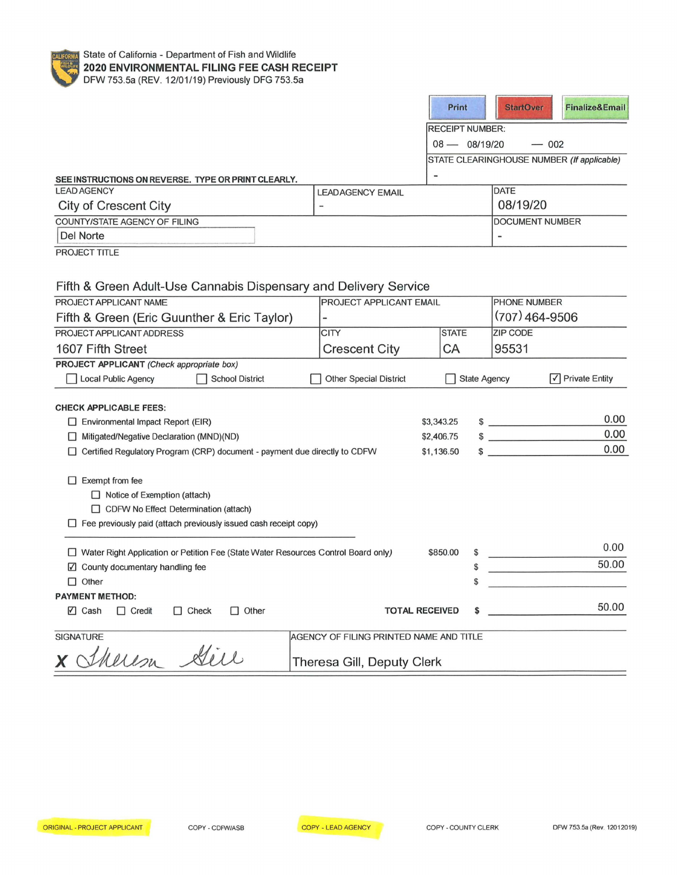

|                                                                                      |                                         |            | Print                  | <b>StartOver</b>       | <b>Finalize&amp;Email</b>                  |
|--------------------------------------------------------------------------------------|-----------------------------------------|------------|------------------------|------------------------|--------------------------------------------|
|                                                                                      |                                         |            | <b>RECEIPT NUMBER:</b> |                        |                                            |
|                                                                                      |                                         |            | $08 - 08/19/20$        |                        | $-002$                                     |
|                                                                                      |                                         |            |                        |                        | STATE CLEARINGHOUSE NUMBER (If applicable) |
|                                                                                      |                                         |            |                        |                        |                                            |
| SEE INSTRUCTIONS ON REVERSE. TYPE OR PRINT CLEARLY.<br><b>LEAD AGENCY</b>            | <b>LEADAGENCY EMAIL</b>                 |            |                        | <b>DATE</b>            |                                            |
| <b>City of Crescent City</b>                                                         |                                         |            |                        | 08/19/20               |                                            |
| COUNTY/STATE AGENCY OF FILING                                                        |                                         |            |                        | <b>DOCUMENT NUMBER</b> |                                            |
| Del Norte                                                                            |                                         |            |                        |                        |                                            |
| <b>PROJECT TITLE</b>                                                                 |                                         |            |                        |                        |                                            |
|                                                                                      |                                         |            |                        |                        |                                            |
|                                                                                      |                                         |            |                        |                        |                                            |
| Fifth & Green Adult-Use Cannabis Dispensary and Delivery Service                     |                                         |            |                        |                        |                                            |
| PROJECT APPLICANT NAME                                                               | PROJECT APPLICANT EMAIL                 |            |                        | PHONE NUMBER           |                                            |
| Fifth & Green (Eric Guunther & Eric Taylor)                                          |                                         |            |                        | (707) 464-9506         |                                            |
| PROJECT APPLICANT ADDRESS                                                            | <b>CITY</b>                             |            | <b>STATE</b>           | ZIP CODE               |                                            |
| 1607 Fifth Street                                                                    | <b>Crescent City</b>                    |            | CA                     | 95531                  |                                            |
| PROJECT APPLICANT (Check appropriate box)                                            |                                         |            |                        |                        |                                            |
| <b>Local Public Agency</b><br><b>School District</b>                                 | <b>Other Special District</b>           |            |                        | <b>State Agency</b>    | $\sqrt{}$ Private Entity                   |
|                                                                                      |                                         |            |                        |                        |                                            |
| <b>CHECK APPLICABLE FEES:</b>                                                        |                                         |            |                        |                        |                                            |
| $\Box$ Environmental Impact Report (EIR)                                             |                                         | \$3,343.25 |                        | $\frac{1}{2}$          | 0.00                                       |
| $\Box$ Mitigated/Negative Declaration (MND)(ND)                                      |                                         | \$2,406.75 |                        | $\frac{1}{2}$          | 0.00                                       |
| □ Certified Regulatory Program (CRP) document - payment due directly to CDFW         |                                         | \$1,136.50 |                        | $\frac{1}{2}$          | 0.00                                       |
|                                                                                      |                                         |            |                        |                        |                                            |
| $\Box$ Exempt from fee                                                               |                                         |            |                        |                        |                                            |
| $\Box$ Notice of Exemption (attach)                                                  |                                         |            |                        |                        |                                            |
| CDFW No Effect Determination (attach)                                                |                                         |            |                        |                        |                                            |
| $\Box$ Fee previously paid (attach previously issued cash receipt copy)              |                                         |            |                        |                        |                                            |
| □ Water Right Application or Petition Fee (State Water Resources Control Board only) |                                         | \$850.00   |                        |                        | 0.00                                       |
| ☑ County documentary handling fee                                                    |                                         |            | \$                     |                        | 50.00                                      |
| $\Box$ Other                                                                         |                                         |            |                        |                        |                                            |
| <b>PAYMENT METHOD:</b>                                                               |                                         |            |                        |                        |                                            |
| $\nabla$ Cash<br>$\Box$ Credit<br>$\Box$ Check<br>$\Box$ Other                       | <b>TOTAL RECEIVED</b>                   |            |                        |                        | 50.00                                      |
|                                                                                      |                                         |            |                        |                        |                                            |
| <b>SIGNATURE</b>                                                                     | AGENCY OF FILING PRINTED NAME AND TITLE |            |                        |                        |                                            |
| $\frac{1}{2}$<br>$\overline{\phantom{a}}$                                            |                                         |            |                        |                        |                                            |

x Sherem Sire

Theresa Gill, Deputy Clerk